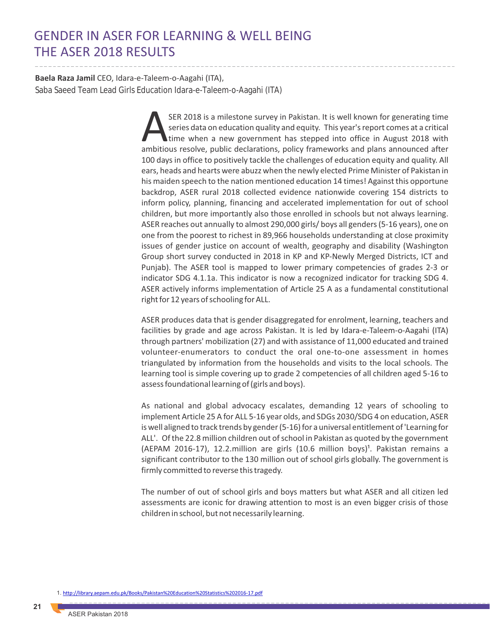# GENDER IN ASER FOR LEARNING & WELL BEING THE ASER 2018 RESULTS

**Baela Raza Jamil** CEO, Idara-e-Taleem-o-Aagahi (ITA), Saba Saeed Team Lead Girls Education Idara-e-Taleem-o-Aagahi (ITA)

> SER 2018 is a milestone survey in Pakistan. It is well known for generating time<br>series data on education quality and equity. This year's report comes at a critical<br>time when a new government has stepped into office in Aug time when a new government has stepped into office in August 2018 with 100 days in office to positively tackle the challenges of education equity and quality. All ears, heads and hearts were abuzz when the newly elected Prime Minister of Pakistan in his maiden speech to the nation mentioned education 14 times! Against this opportune backdrop, ASER rural 2018 collected evidence nationwide covering 154 districts to inform policy, planning, financing and accelerated implementation for out of school children, but more importantly also those enrolled in schools but not always learning. ASER reaches out annually to almost 290,000 girls/ boys all genders (5-16 years), one on one from the poorest to richest in 89,966 households understanding at close proximity issues of gender justice on account of wealth, geography and disability (Washington Group short survey conducted in 2018 in KP and KP-Newly Merged Districts, ICT and Punjab). The ASER tool is mapped to lower primary competencies of grades 2-3 or indicator SDG 4.1.1a. This indicator is now a recognized indicator for tracking SDG 4. ASER actively informs implementation of Article 25 A as a fundamental constitutional right for 12 years of schooling for ALL.

> ASER produces data that is gender disaggregated for enrolment, learning, teachers and facilities by grade and age across Pakistan. It is led by Idara-e-Taleem-o-Aagahi (ITA) through partners' mobilization (27) and with assistance of 11,000 educated and trained volunteer-enumerators to conduct the oral one-to-one assessment in homes triangulated by information from the households and visits to the local schools. The learning tool is simple covering up to grade 2 competencies of all children aged 5-16 to assess foundational learning of (girls and boys).

> As national and global advocacy escalates, demanding 12 years of schooling to implement Article 25 A for ALL 5-16 year olds, and SDGs 2030/SDG 4 on education, ASER is well aligned to track trends by gender (5-16) for a universal entitlement of 'Learning for ALL'. Of the 22.8 million children out of school in Pakistan as quoted by the government (AEPAM 2016-17), 12.2.million are girls (10.6 million boys)<sup>1</sup>. Pakistan remains a significant contributor to the 130 million out of school girls globally. The government is firmly committed to reverse this tragedy.

> The number of out of school girls and boys matters but what ASER and all citizen led assessments are iconic for drawing attention to most is an even bigger crisis of those children in school, but not necessarily learning.

1. <http://library.aepam.edu.pk/Books/Pakistan%20Education%20Statistics%202016-17.pdf>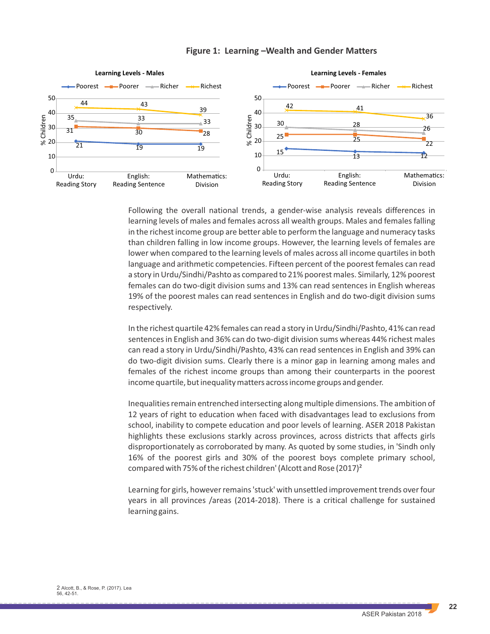

### **Figure 1: Learning –Wealth and Gender Matters**

Following the overall national trends, a gender-wise analysis reveals differences in learning levels of males and females across all wealth groups. Males and females falling in the richest income group are better able to perform the language and numeracy tasks than children falling in low income groups. However, the learning levels of females are lower when compared to the learning levels of males across all income quartiles in both language and arithmetic competencies. Fifteen percent of the poorest females can read a story in Urdu/Sindhi/Pashto as compared to 21% poorest males. Similarly, 12% poorest females can do two-digit division sums and 13% can read sentences in English whereas 19% of the poorest males can read sentences in English and do two-digit division sums respectively.

In the richest quartile 42% females can read a story in Urdu/Sindhi/Pashto, 41% can read sentences in English and 36% can do two-digit division sums whereas 44% richest males can read a story in Urdu/Sindhi/Pashto, 43% can read sentences in English and 39% can do two-digit division sums. Clearly there is a minor gap in learning among males and females of the richest income groups than among their counterparts in the poorest income quartile, but inequality matters across income groups and gender.

Inequalities remain entrenched intersecting along multiple dimensions. The ambition of 12 years of right to education when faced with disadvantages lead to exclusions from school, inability to compete education and poor levels of learning. ASER 2018 Pakistan highlights these exclusions starkly across provinces, across districts that affects girls disproportionately as corroborated by many. As quoted by some studies, in 'Sindh only 16% of the poorest girls and 30% of the poorest boys complete primary school, compared with 75% of the richest children' (Alcott and Rose (2017)²

Learning for girls, however remains 'stuck' with unsettled improvement trends over four years in all provinces /areas (2014-2018). There is a critical challenge for sustained learning gains.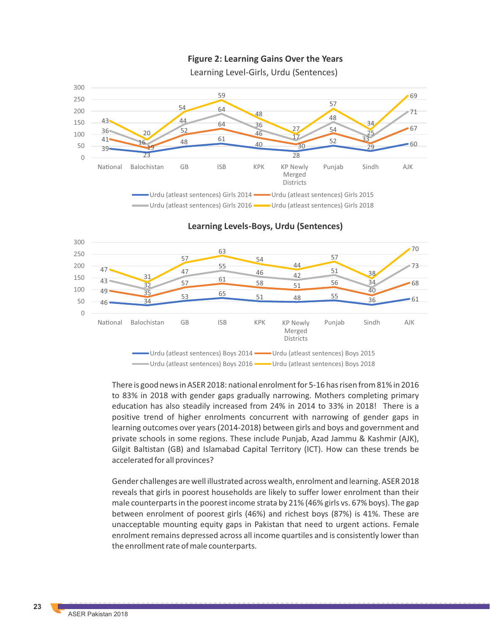

**Figure 2: Learning Gains Over the Years** 

**Learning Levels-Boys, Urdu (Sentences)**



There is good news in ASER 2018: national enrolment for 5-16 has risen from 81% in 2016 to 83% in 2018 with gender gaps gradually narrowing. Mothers completing primary education has also steadily increased from 24% in 2014 to 33% in 2018! There is a positive trend of higher enrolments concurrent with narrowing of gender gaps in learning outcomes over years (2014-2018) between girls and boys and government and private schools in some regions. These include Punjab, Azad Jammu & Kashmir (AJK), Gilgit Baltistan (GB) and Islamabad Capital Territory (ICT). How can these trends be accelerated for all provinces?

Gender challenges are well illustrated across wealth, enrolment and learning. ASER 2018 reveals that girls in poorest households are likely to suffer lower enrolment than their male counterparts in the poorest income strata by 21% (46% girls vs. 67% boys). The gap between enrolment of poorest girls (46%) and richest boys (87%) is 41%. These are unacceptable mounting equity gaps in Pakistan that need to urgent actions. Female enrolment remains depressed across all income quartiles and is consistently lower than the enrollment rate of male counterparts.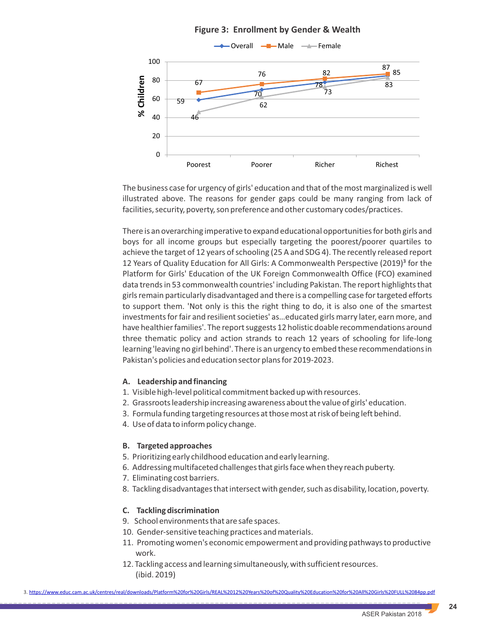

The business case for urgency of girls' education and that of the most marginalized is well illustrated above. The reasons for gender gaps could be many ranging from lack of facilities, security, poverty, son preference and other customary codes/practices.

There is an overarching imperative to expand educational opportunities for both girls and boys for all income groups but especially targeting the poorest/poorer quartiles to achieve the target of 12 years of schooling (25 A and SDG 4). The recently released report 12 Years of Quality Education for All Girls: A Commonwealth Perspective (2019)<sup>3</sup> for the Platform for Girls' Education of the UK Foreign Commonwealth Office (FCO) examined data trends in 53 commonwealth countries' including Pakistan. The report highlights that girls remain particularly disadvantaged and there is a compelling case for targeted efforts to support them. 'Not only is this the right thing to do, it is also one of the smartest investments for fair and resilient societies' as…educated girls marry later, earn more, and have healthier families'. The report suggests 12 holistic doable recommendations around three thematic policy and action strands to reach 12 years of schooling for life-long learning 'leaving no girl behind'. There is an urgency to embed these recommendations in Pakistan's policies and education sector plans for 2019-2023.

## **A. Leadership and financing**

- 1. Visible high-level political commitment backed up with resources.
- 2. Grassroots leadership increasing awareness about the value of girls' education.
- 3. Formula funding targeting resources at those most at risk of being left behind.
- 4. Use of data to inform policy change.

## **B. Targeted approaches**

- 5. Prioritizing early childhood education and early learning.
- 6. Addressing multifaceted challenges that girls face when they reach puberty.
- 7. Eliminating cost barriers.
- 8. Tackling disadvantages that intersect with gender, such as disability, location, poverty.

## **C. Tackling discrimination**

- 9. School environments that are safe spaces.
- 10. Gender-sensitive teaching practices and materials.
- 11. Promoting women's economic empowerment and providing pathways to productive work.
- 12. Tackling access and learning simultaneously, with sufficient resources. (ibid. 2019)

3. https://www.educ.cam.ac.uk/centres/real/downloads/Platform%20for%20Girls/REAL%2012%20Years%20of%20Quality%20Education%20for%20